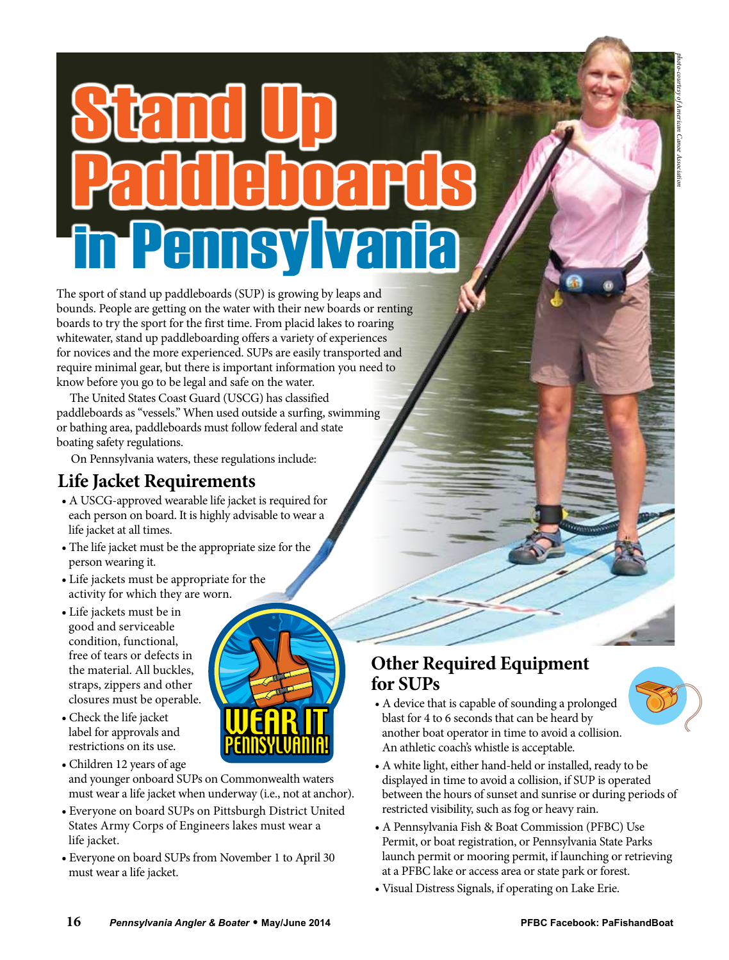# Stand Up Paddleboards in Pennsylvania

The sport of stand up paddleboards (SUP) is growing by leaps and bounds. People are getting on the water with their new boards or renting boards to try the sport for the first time. From placid lakes to roaring whitewater, stand up paddleboarding offers a variety of experiences for novices and the more experienced. SUPs are easily transported and require minimal gear, but there is important information you need to know before you go to be legal and safe on the water.

The United States Coast Guard (USCG) has classified paddleboards as "vessels." When used outside a surfing, swimming or bathing area, paddleboards must follow federal and state boating safety regulations.

On Pennsylvania waters, these regulations include:

#### **Life Jacket Requirements**

- A USCG-approved wearable life jacket is required for each person on board. It is highly advisable to wear a life jacket at all times.
- The life jacket must be the appropriate size for the person wearing it.
- Life jackets must be appropriate for the activity for which they are worn.
- Life jackets must be in good and serviceable condition, functional, free of tears or defects in the material. All buckles, straps, zippers and other closures must be operable.



- Check the life jacket label for approvals and restrictions on its use.
- Children 12 years of age and younger onboard SUPs on Commonwealth waters must wear a life jacket when underway (i.e., not at anchor).
- Everyone on board SUPs on Pittsburgh District United States Army Corps of Engineers lakes must wear a life jacket.
- Everyone on board SUPs from November 1 to April 30 must wear a life jacket.

## **Other Required Equipment for SUPs**

- 
- A device that is capable of sounding a prolonged blast for 4 to 6 seconds that can be heard by another boat operator in time to avoid a collision. An athletic coach's whistle is acceptable.
- A white light, either hand-held or installed, ready to be displayed in time to avoid a collision, if SUP is operated between the hours of sunset and sunrise or during periods of restricted visibility, such as fog or heavy rain.
- A Pennsylvania Fish & Boat Commission (PFBC) Use Permit, or boat registration, or Pennsylvania State Parks launch permit or mooring permit, if launching or retrieving at a PFBC lake or access area or state park or forest.
- Visual Distress Signals, if operating on Lake Erie.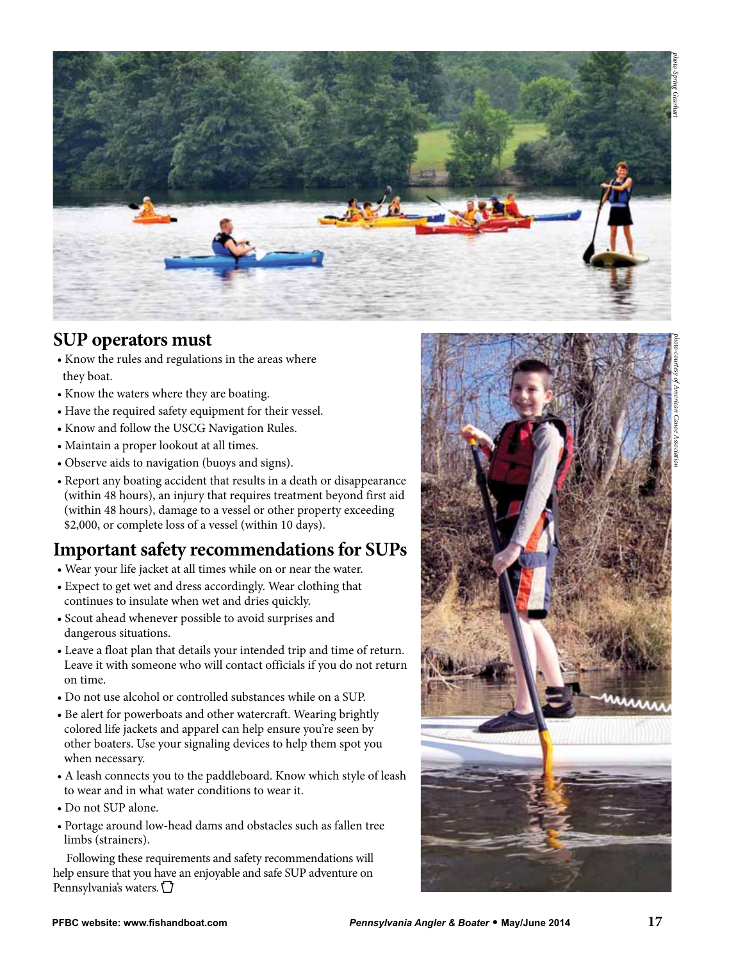

#### **SUP operators must**

- Know the rules and regulations in the areas where they boat.
- Know the waters where they are boating.
- Have the required safety equipment for their vessel.
- Know and follow the USCG Navigation Rules.
- Maintain a proper lookout at all times.
- Observe aids to navigation (buoys and signs).
- Report any boating accident that results in a death or disappearance (within 48 hours), an injury that requires treatment beyond first aid (within 48 hours), damage to a vessel or other property exceeding \$2,000, or complete loss of a vessel (within 10 days).

### **Important safety recommendations for SUPs**

- Wear your life jacket at all times while on or near the water.
- Expect to get wet and dress accordingly. Wear clothing that continues to insulate when wet and dries quickly.
- Scout ahead whenever possible to avoid surprises and dangerous situations.
- Leave a float plan that details your intended trip and time of return. Leave it with someone who will contact officials if you do not return on time.
- Do not use alcohol or controlled substances while on a SUP.
- Be alert for powerboats and other watercraft. Wearing brightly colored life jackets and apparel can help ensure you're seen by other boaters. Use your signaling devices to help them spot you when necessary.
- A leash connects you to the paddleboard. Know which style of leash to wear and in what water conditions to wear it.
- Do not SUP alone.
- Portage around low-head dams and obstacles such as fallen tree limbs (strainers).

Following these requirements and safety recommendations will help ensure that you have an enjoyable and safe SUP adventure on Pennsylvania's waters.